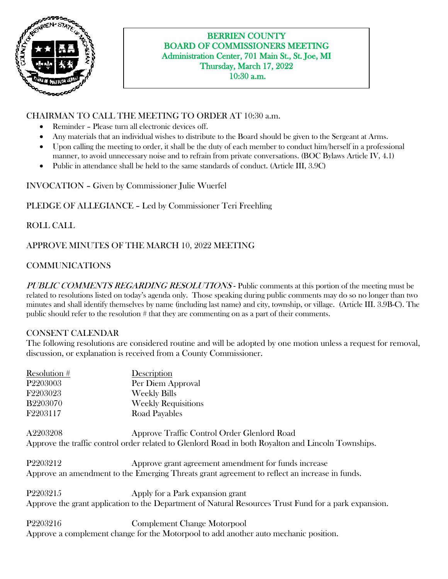

### BERRIEN COUNTY BOARD OF COMMISSIONERS MEETING Administration Center, 701 Main St., St. Joe, MI Thursday, March 17, 2022 10:30 a.m.

## CHAIRMAN TO CALL THE MEETING TO ORDER AT 10:30 a.m.

- Reminder Please turn all electronic devices off.
- Any materials that an individual wishes to distribute to the Board should be given to the Sergeant at Arms.
- Upon calling the meeting to order, it shall be the duty of each member to conduct him/herself in a professional manner, to avoid unnecessary noise and to refrain from private conversations. (BOC Bylaws Article IV, 4.1)
- Public in attendance shall be held to the same standards of conduct. (Article III, 3.9C)

INVOCATION – Given by Commissioner Julie Wuerfel

### PLEDGE OF ALLEGIANCE – Led by Commissioner Teri Freehling

### ROLL CALL

### APPROVE MINUTES OF THE MARCH 10, 2022 MEETING

# COMMUNICATIONS

PUBLIC COMMENTS REGARDING RESOLUTIONS - Public comments at this portion of the meeting must be related to resolutions listed on today's agenda only. Those speaking during public comments may do so no longer than two minutes and shall identify themselves by name (including last name) and city, township, or village. (Article III. 3.9B-C). The public should refer to the resolution # that they are commenting on as a part of their comments.

### CONSENT CALENDAR

The following resolutions are considered routine and will be adopted by one motion unless a request for removal, discussion, or explanation is received from a County Commissioner.

| Resolution #         | Description                                                                                           |
|----------------------|-------------------------------------------------------------------------------------------------------|
| P <sub>2203003</sub> | Per Diem Approval                                                                                     |
| F2203023             | <b>Weekly Bills</b>                                                                                   |
| <b>B2203070</b>      | <b>Weekly Requisitions</b>                                                                            |
| F2203117             | Road Payables                                                                                         |
| A2203208             | Approve Traffic Control Order Glenlord Road                                                           |
|                      | Approve the traffic control order related to Glenlord Road in both Royalton and Lincoln Townships.    |
| P2203212             | Approve grant agreement amendment for funds increase                                                  |
|                      | Approve an amendment to the Emerging Threats grant agreement to reflect an increase in funds.         |
| P <sub>2203215</sub> | Apply for a Park expansion grant                                                                      |
|                      | Approve the grant application to the Department of Natural Resources Trust Fund for a park expansion. |
| P2203216             | <b>Complement Change Motorpool</b>                                                                    |
|                      | Approve a complement change for the Motorpool to add another auto mechanic position.                  |